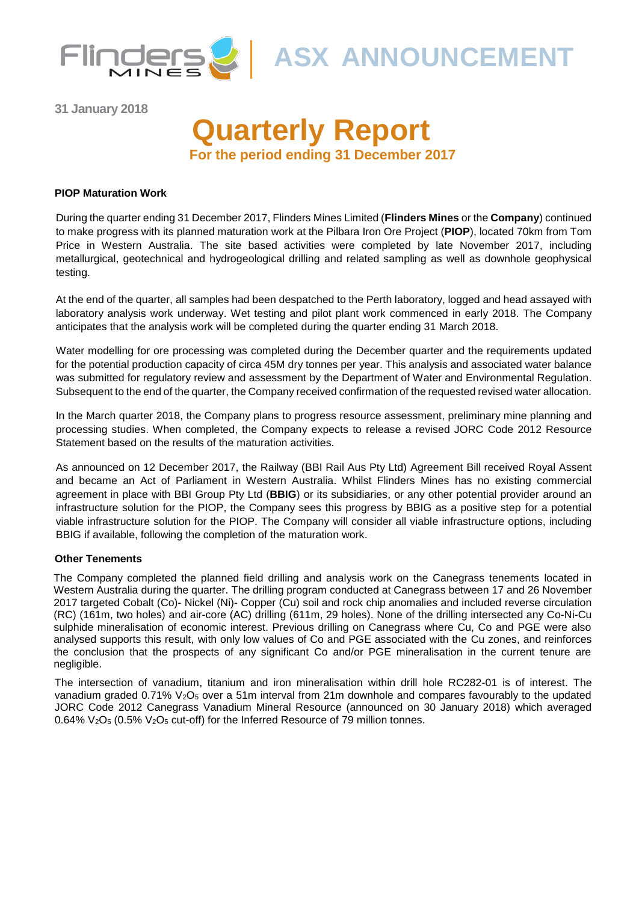

**ASX ANNOUNCEMENT** 

**31 January 2018**

# **Quarterly Report For the period ending 31 December 2017**

#### **PIOP Maturation Work**

During the quarter ending 31 December 2017, Flinders Mines Limited (**Flinders Mines** or the **Company**) continued to make progress with its planned maturation work at the Pilbara Iron Ore Project (**PIOP**), located 70km from Tom Price in Western Australia. The site based activities were completed by late November 2017, including metallurgical, geotechnical and hydrogeological drilling and related sampling as well as downhole geophysical testing.

At the end of the quarter, all samples had been despatched to the Perth laboratory, logged and head assayed with laboratory analysis work underway. Wet testing and pilot plant work commenced in early 2018. The Company anticipates that the analysis work will be completed during the quarter ending 31 March 2018.

Water modelling for ore processing was completed during the December quarter and the requirements updated for the potential production capacity of circa 45M dry tonnes per year. This analysis and associated water balance was submitted for regulatory review and assessment by the Department of Water and Environmental Regulation. Subsequent to the end of the quarter, the Company received confirmation of the requested revised water allocation.

In the March quarter 2018, the Company plans to progress resource assessment, preliminary mine planning and processing studies. When completed, the Company expects to release a revised JORC Code 2012 Resource Statement based on the results of the maturation activities.

As announced on 12 December 2017, the Railway (BBI Rail Aus Pty Ltd) Agreement Bill received Royal Assent and became an Act of Parliament in Western Australia. Whilst Flinders Mines has no existing commercial agreement in place with BBI Group Pty Ltd (**BBIG**) or its subsidiaries, or any other potential provider around an infrastructure solution for the PIOP, the Company sees this progress by BBIG as a positive step for a potential viable infrastructure solution for the PIOP. The Company will consider all viable infrastructure options, including BBIG if available, following the completion of the maturation work.

#### **Other Tenements**

The Company completed the planned field drilling and analysis work on the Canegrass tenements located in Western Australia during the quarter. The drilling program conducted at Canegrass between 17 and 26 November 2017 targeted Cobalt (Co)- Nickel (Ni)- Copper (Cu) soil and rock chip anomalies and included reverse circulation (RC) (161m, two holes) and air-core (AC) drilling (611m, 29 holes). None of the drilling intersected any Co-Ni-Cu sulphide mineralisation of economic interest. Previous drilling on Canegrass where Cu, Co and PGE were also analysed supports this result, with only low values of Co and PGE associated with the Cu zones, and reinforces the conclusion that the prospects of any significant Co and/or PGE mineralisation in the current tenure are negligible.

The intersection of vanadium, titanium and iron mineralisation within drill hole RC282-01 is of interest. The vanadium graded  $0.71\%$  V<sub>2</sub>O<sub>5</sub> over a 51m interval from 21m downhole and compares favourably to the updated JORC Code 2012 Canegrass Vanadium Mineral Resource (announced on 30 January 2018) which averaged 0.64% V<sub>2</sub>O<sub>5</sub> (0.5% V<sub>2</sub>O<sub>5</sub> cut-off) for the Inferred Resource of 79 million tonnes.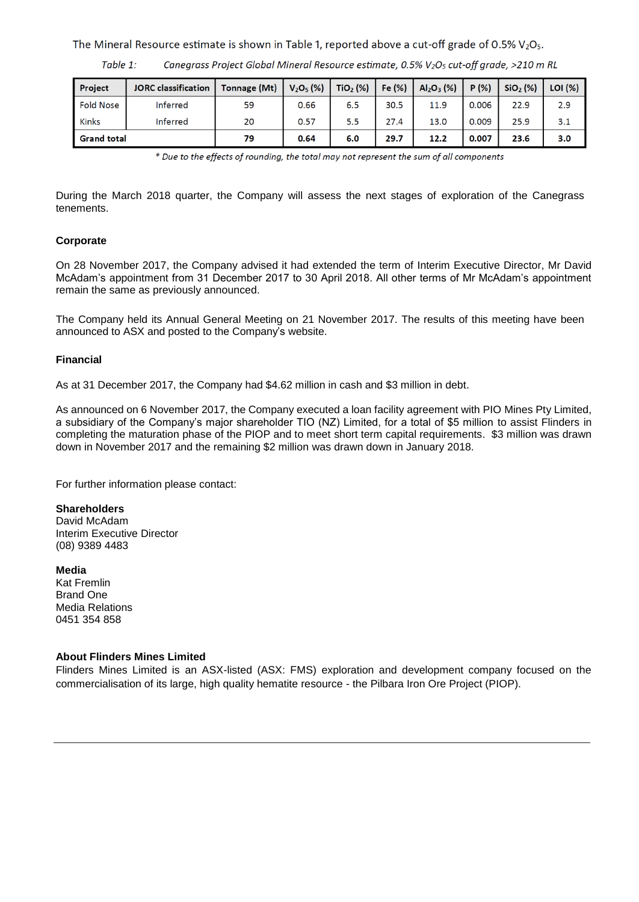The Mineral Resource estimate is shown in Table 1, reported above a cut-off grade of 0.5%  $V_2O_5$ .

Table 1: Canegrass Project Global Mineral Resource estimate, 0.5% V<sub>2</sub>O<sub>5</sub> cut-off grade, >210 m RL

| Project            | <b>JORC</b> classification | Tonnage (Mt) | $V_2O_5$ (%) | TiO <sub>2</sub> (%) | Fe (%) | $Al_2O_3$ (%) | P(% ) | SiO <sub>2</sub> (%) | LOI (%) |
|--------------------|----------------------------|--------------|--------------|----------------------|--------|---------------|-------|----------------------|---------|
| <b>Fold Nose</b>   | Inferred                   | 59           | 0.66         | 6.5                  | 30.5   | 11.9          | 0.006 | 22.9                 | 2.9     |
| <b>Kinks</b>       | Inferred                   | 20           | 0.57         | 5.5                  | 27.4   | 13.0          | 0.009 | 25.9                 | 3.1     |
| <b>Grand total</b> |                            | 79           | 0.64         | 6.0                  | 29.7   | 12.2          | 0.007 | 23.6                 | 3.0     |

\* Due to the effects of rounding, the total may not represent the sum of all components

During the March 2018 quarter, the Company will assess the next stages of exploration of the Canegrass tenements.

### **Corporate**

On 28 November 2017, the Company advised it had extended the term of Interim Executive Director, Mr David McAdam's appointment from 31 December 2017 to 30 April 2018. All other terms of Mr McAdam's appointment remain the same as previously announced.

The Company held its Annual General Meeting on 21 November 2017. The results of this meeting have been announced to ASX and posted to the Company's website.

### **Financial**

As at 31 December 2017, the Company had \$4.62 million in cash and \$3 million in debt.

As announced on 6 November 2017, the Company executed a loan facility agreement with PIO Mines Pty Limited, a subsidiary of the Company's major shareholder TIO (NZ) Limited, for a total of \$5 million to assist Flinders in completing the maturation phase of the PIOP and to meet short term capital requirements. \$3 million was drawn down in November 2017 and the remaining \$2 million was drawn down in January 2018.

For further information please contact:

### **Shareholders**

David McAdam Interim Executive Director (08) 9389 4483

**Media** 

Kat Fremlin Brand One Media Relations 0451 354 858

### **About Flinders Mines Limited**

Flinders Mines Limited is an ASX-listed (ASX: FMS) exploration and development company focused on the commercialisation of its large, high quality hematite resource - the Pilbara Iron Ore Project (PIOP).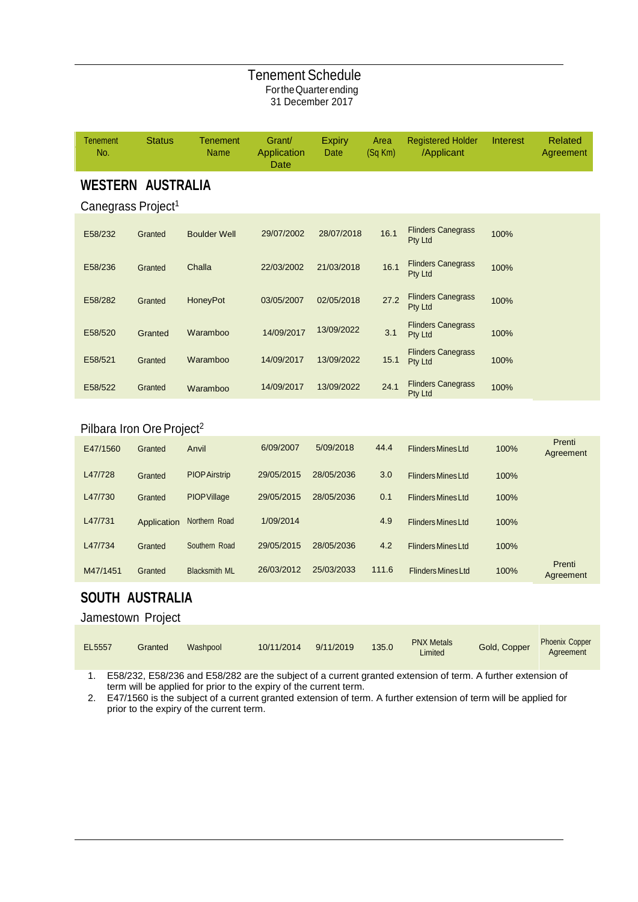## Tenement Schedule FortheQuarterending 31 December 2017

| <b>Tenement</b><br>No.                | <b>Status</b> | <b>Tenement</b><br><b>Name</b> | Grant/<br>Application<br><b>Date</b> | <b>Expiry</b><br>Date | Area<br>(Sq Km) | <b>Registered Holder</b><br>/Applicant | Interest | <b>Related</b><br>Agreement |
|---------------------------------------|---------------|--------------------------------|--------------------------------------|-----------------------|-----------------|----------------------------------------|----------|-----------------------------|
| <b>WESTERN AUSTRALIA</b>              |               |                                |                                      |                       |                 |                                        |          |                             |
| Canegrass Project <sup>1</sup>        |               |                                |                                      |                       |                 |                                        |          |                             |
| E58/232                               | Granted       | <b>Boulder Well</b>            | 29/07/2002                           | 28/07/2018            | 16.1            | <b>Flinders Canegrass</b><br>Pty Ltd   | 100%     |                             |
| E58/236                               | Granted       | Challa                         | 22/03/2002                           | 21/03/2018            | 16.1            | <b>Flinders Canegrass</b><br>Pty Ltd   | 100%     |                             |
| E58/282                               | Granted       | HoneyPot                       | 03/05/2007                           | 02/05/2018            | 27.2            | <b>Flinders Canegrass</b><br>Pty Ltd   | 100%     |                             |
| E58/520                               | Granted       | Waramboo                       | 14/09/2017                           | 13/09/2022            | 3.1             | <b>Flinders Canegrass</b><br>Pty Ltd   | 100%     |                             |
| E58/521                               | Granted       | Waramboo                       | 14/09/2017                           | 13/09/2022            | 15.1            | <b>Flinders Canegrass</b><br>Pty Ltd   | 100%     |                             |
| E58/522                               | Granted       | Waramboo                       | 14/09/2017                           | 13/09/2022            | 24.1            | <b>Flinders Canegrass</b><br>Pty Ltd   | 100%     |                             |
|                                       |               |                                |                                      |                       |                 |                                        |          |                             |
| Pilbara Iron Ore Project <sup>2</sup> |               |                                |                                      |                       |                 |                                        |          |                             |
| E47/1560                              | Granted       | Anvil                          | 6/09/2007                            | 5/09/2018             | 44.4            | <b>Flinders Mines Ltd</b>              | 100%     | Prenti<br>Agreement         |
| L47/728                               | Granted       | <b>PIOP Airstrip</b>           | 29/05/2015                           | 28/05/2036            | 3.0             | <b>Flinders Mines Ltd</b>              | 100%     |                             |
| L47/730                               | Granted       | <b>PIOP Village</b>            | 29/05/2015                           | 28/05/2036            | 0.1             | <b>Flinders Mines Ltd</b>              | 100%     |                             |
| L47/731                               | Application   | Northern Road                  | 1/09/2014                            |                       | 4.9             | <b>Flinders Mines Ltd</b>              | 100%     |                             |
| L47/734                               | Granted       | Southern Road                  | 29/05/2015                           | 28/05/2036            | 4.2             | <b>Flinders Mines Ltd</b>              | 100%     |                             |

# **SOUTH AUSTRALIA**

Jamestown Project

| EL5557 | Granted | Washpool | 10/11/2014 | 9/11/2019 | 135.0 | <b>PNX Metals</b><br>Limited | Gold, Copper | <b>Phoenix Copper</b><br>Agreement |
|--------|---------|----------|------------|-----------|-------|------------------------------|--------------|------------------------------------|
|--------|---------|----------|------------|-----------|-------|------------------------------|--------------|------------------------------------|

Prenti Agreement

1. E58/232, E58/236 and E58/282 are the subject of a current granted extension of term. A further extension of term will be applied for prior to the expiry of the current term.

M47/1451 Granted Blacksmith ML 26/03/2012 25/03/2033 111.6 FlindersMinesLtd 100%

2. E47/1560 is the subject of a current granted extension of term. A further extension of term will be applied for prior to the expiry of the current term.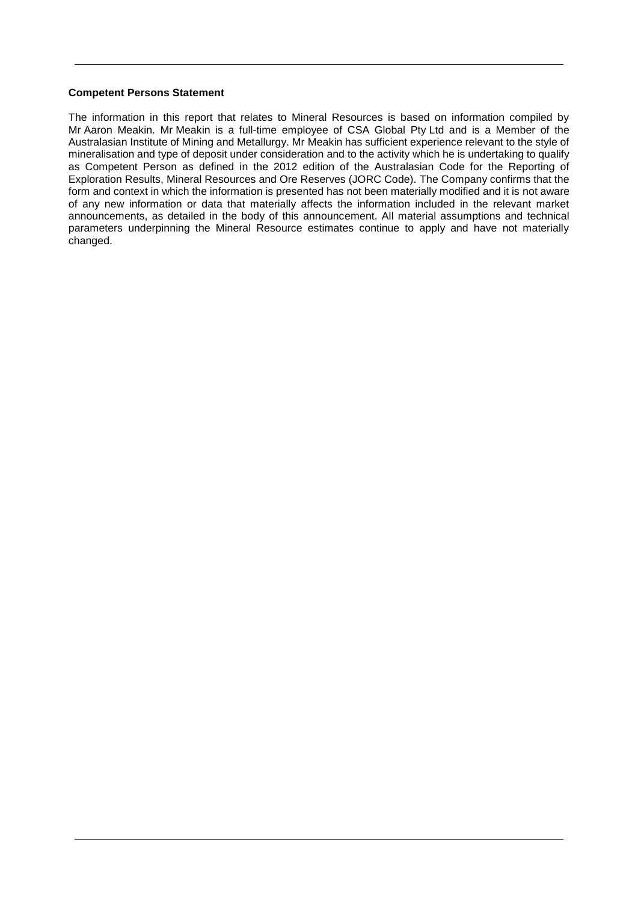#### **Competent Persons Statement**

The information in this report that relates to Mineral Resources is based on information compiled by Mr Aaron Meakin. Mr Meakin is a full-time employee of CSA Global Pty Ltd and is a Member of the Australasian Institute of Mining and Metallurgy. Mr Meakin has sufficient experience relevant to the style of mineralisation and type of deposit under consideration and to the activity which he is undertaking to qualify as Competent Person as defined in the 2012 edition of the Australasian Code for the Reporting of Exploration Results, Mineral Resources and Ore Reserves (JORC Code). The Company confirms that the form and context in which the information is presented has not been materially modified and it is not aware of any new information or data that materially affects the information included in the relevant market announcements, as detailed in the body of this announcement. All material assumptions and technical parameters underpinning the Mineral Resource estimates continue to apply and have not materially changed.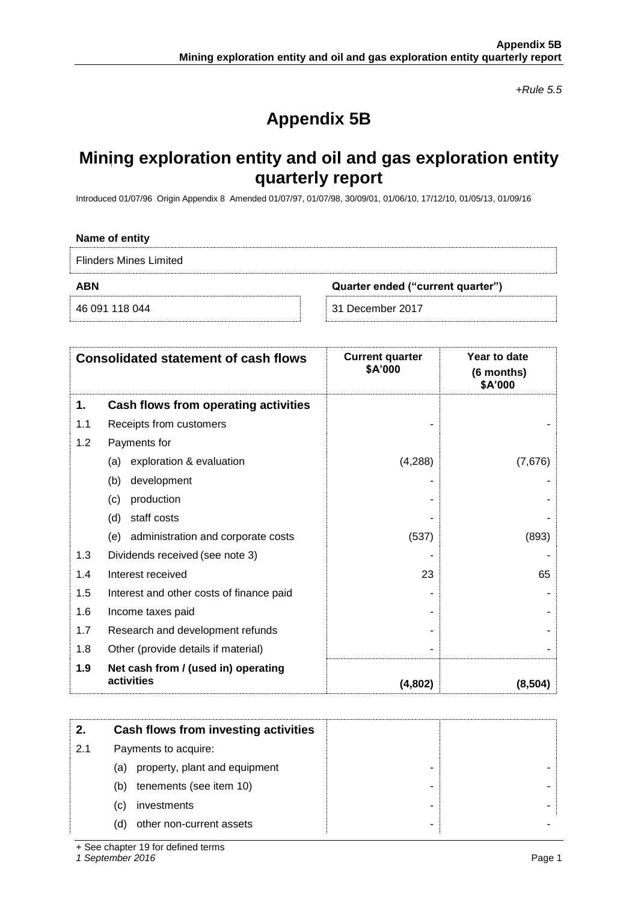*+Rule 5.5*

# **Appendix 5B**

# **Mining exploration entity and oil and gas exploration entity quarterly report**

Introduced 01/07/96 Origin Appendix 8 Amended 01/07/97, 01/07/98, 30/09/01, 01/06/10, 17/12/10, 01/05/13, 01/09/16

| Name of entity                |                                   |
|-------------------------------|-----------------------------------|
| <b>Flinders Mines Limited</b> |                                   |
| <b>ABN</b>                    | Quarter ended ("current quarter") |
| 46 091 118 044                | 31 December 2017                  |

|     | <b>Consolidated statement of cash flows</b>       | <b>Current quarter</b><br>\$A'000 | Year to date<br>(6 months)<br>\$A'000 |
|-----|---------------------------------------------------|-----------------------------------|---------------------------------------|
| 1.  | Cash flows from operating activities              |                                   |                                       |
| 1.1 | Receipts from customers                           |                                   |                                       |
| 1.2 | Payments for                                      |                                   |                                       |
|     | exploration & evaluation<br>(a)                   | (4,288)                           | (7,676)                               |
|     | (b)<br>development                                |                                   |                                       |
|     | production<br>(c)                                 |                                   |                                       |
|     | staff costs<br>(d)                                |                                   |                                       |
|     | administration and corporate costs<br>(e)         | (537)                             | (893)                                 |
| 1.3 | Dividends received (see note 3)                   |                                   |                                       |
| 1.4 | Interest received                                 | 23                                | 65                                    |
| 1.5 | Interest and other costs of finance paid          |                                   |                                       |
| 1.6 | Income taxes paid                                 |                                   |                                       |
| 1.7 | Research and development refunds                  |                                   |                                       |
| 1.8 | Other (provide details if material)               |                                   |                                       |
| 1.9 | Net cash from / (used in) operating<br>activities | (4,802)                           | (8, 504)                              |

|     | Cash flows from investing activities |  |
|-----|--------------------------------------|--|
| 2.1 | Payments to acquire:                 |  |
|     | property, plant and equipment<br>(a) |  |
|     | tenements (see item 10)<br>(b)       |  |
|     | investments<br>(C)                   |  |
|     | other non-current assets<br>(d)      |  |

+ See chapter 19 for defined terms

*1 September 2016* Page 1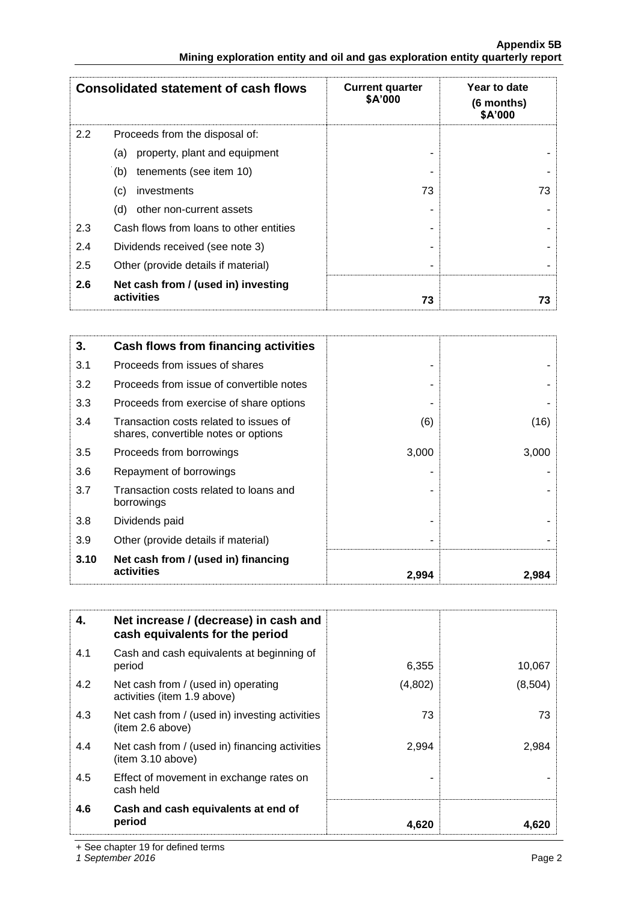|     | <b>Consolidated statement of cash flows</b>       | <b>Current quarter</b><br><b>\$A'000</b> | Year to date<br>(6 months)<br>\$A'000 |
|-----|---------------------------------------------------|------------------------------------------|---------------------------------------|
| 2.2 | Proceeds from the disposal of:                    |                                          |                                       |
|     | property, plant and equipment<br>(a)              |                                          |                                       |
|     | tenements (see item 10)<br>(b)                    |                                          |                                       |
|     | investments<br>(c)                                | 73                                       | 73                                    |
|     | (d)<br>other non-current assets                   |                                          |                                       |
| 2.3 | Cash flows from loans to other entities           |                                          |                                       |
| 2.4 | Dividends received (see note 3)                   |                                          |                                       |
| 2.5 | Other (provide details if material)               |                                          |                                       |
| 2.6 | Net cash from / (used in) investing<br>activities | 73                                       | 73                                    |

| 3.   | Cash flows from financing activities                                           |       |       |
|------|--------------------------------------------------------------------------------|-------|-------|
| 3.1  | Proceeds from issues of shares                                                 |       |       |
| 3.2  | Proceeds from issue of convertible notes                                       |       |       |
| 3.3  | Proceeds from exercise of share options                                        |       |       |
| 3.4  | Transaction costs related to issues of<br>shares, convertible notes or options | (6)   | (16)  |
| 3.5  | Proceeds from borrowings                                                       | 3,000 | 3,000 |
| 3.6  | Repayment of borrowings                                                        |       |       |
| 3.7  | Transaction costs related to loans and<br>borrowings                           |       |       |
| 3.8  | Dividends paid                                                                 |       |       |
| 3.9  | Other (provide details if material)                                            |       |       |
| 3.10 | Net cash from / (used in) financing<br>activities                              | 2,994 | 2.984 |

| 4.  | Net increase / (decrease) in cash and<br>cash equivalents for the period |         |         |
|-----|--------------------------------------------------------------------------|---------|---------|
| 4.1 | Cash and cash equivalents at beginning of<br>period                      | 6,355   | 10,067  |
| 4.2 | Net cash from / (used in) operating<br>activities (item 1.9 above)       | (4,802) | (8,504) |
| 4.3 | Net cash from / (used in) investing activities<br>(item 2.6 above)       | 73      | 73      |
| 4.4 | Net cash from / (used in) financing activities<br>item 3.10 above)       | 2,994   | 2,984   |
| 4.5 | Effect of movement in exchange rates on<br>cash held                     |         |         |
| 4.6 | Cash and cash equivalents at end of<br>period                            | 4,620   | 4,620   |

+ See chapter 19 for defined terms

*1 September 2016* Page 2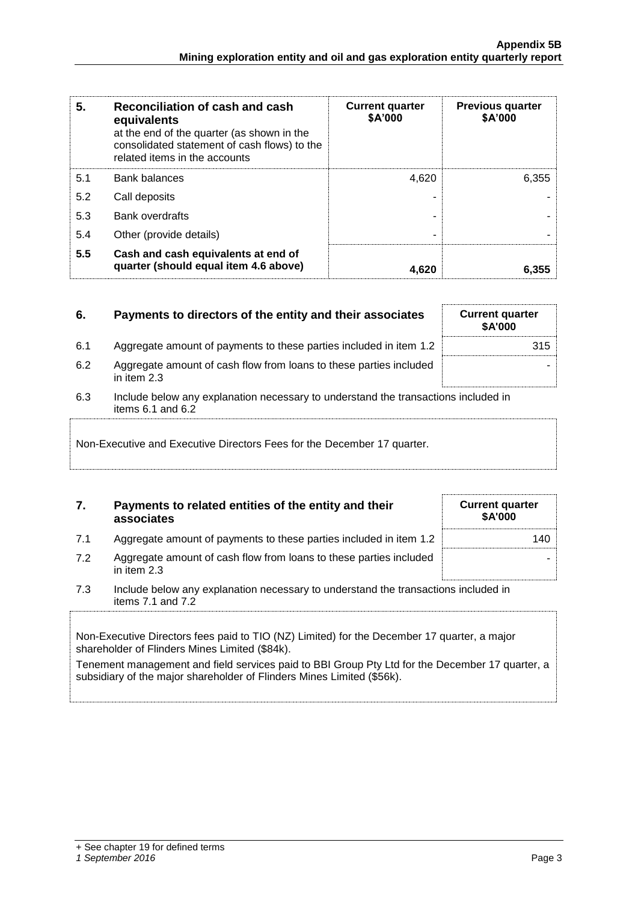| 5.  | Reconciliation of cash and cash<br>equivalents<br>at the end of the quarter (as shown in the<br>consolidated statement of cash flows) to the<br>related items in the accounts | <b>Current quarter</b><br>\$A'000 | <b>Previous quarter</b><br>\$A'000 |
|-----|-------------------------------------------------------------------------------------------------------------------------------------------------------------------------------|-----------------------------------|------------------------------------|
| 5.1 | <b>Bank balances</b>                                                                                                                                                          | 4.620                             | 6,355                              |
| 5.2 | Call deposits                                                                                                                                                                 |                                   |                                    |
| 5.3 | <b>Bank overdrafts</b>                                                                                                                                                        |                                   |                                    |
| 5.4 | Other (provide details)                                                                                                                                                       |                                   |                                    |
| 5.5 | Cash and cash equivalents at end of<br>quarter (should equal item 4.6 above)                                                                                                  | 4.620                             | 6,355                              |

# **6.** Payments to directors of the entity and their associates

- 6.1 Aggregate amount of payments to these parties included in item 1.2
- 6.2 Aggregate amount of cash flow from loans to these parties included in item 2.3
- 6.3 Include below any explanation necessary to understand the transactions included in items 6.1 and 6.2

# Non-Executive and Executive Directors Fees for the December 17 quarter.

# **7. Payments to related entities of the entity and their associates**

- 7.1 Aggregate amount of payments to these parties included in item 1.2 140
- 7.2 Aggregate amount of cash flow from loans to these parties included in item 2.3
- 7.3 Include below any explanation necessary to understand the transactions included in items 7.1 and 7.2

Non-Executive Directors fees paid to TIO (NZ) Limited) for the December 17 quarter, a major shareholder of Flinders Mines Limited (\$84k).

Tenement management and field services paid to BBI Group Pty Ltd for the December 17 quarter, a subsidiary of the major shareholder of Flinders Mines Limited (\$56k).

|  |                    | + See chapter 19 for defined terms |  |
|--|--------------------|------------------------------------|--|
|  | $1$ Cantambar 0010 |                                    |  |

#### *1 September 2016* Page 3

|  | <b>Current quarter</b><br>\$A'000 |     |
|--|-----------------------------------|-----|
|  |                                   | 315 |
|  |                                   |     |

**Current quarter \$A'000**

-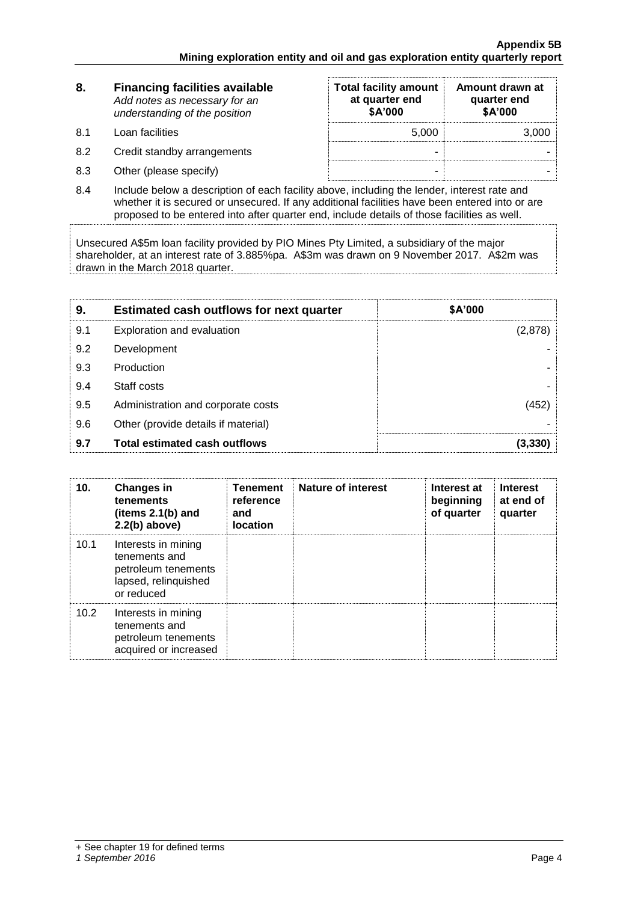| 8.  | <b>Financing facilities available</b><br>Add notes as necessary for an<br>understanding of the position | <b>Total facility amount</b><br>at quarter end<br>\$A'000 | Amount drawn at<br>quarter end<br>\$A'000 |
|-----|---------------------------------------------------------------------------------------------------------|-----------------------------------------------------------|-------------------------------------------|
| 8.1 | Loan facilities                                                                                         | 5.000                                                     | 3,000                                     |
| 8.2 | Credit standby arrangements                                                                             | -                                                         |                                           |
| 8.3 | Other (please specify)                                                                                  | -                                                         |                                           |

8.4 Include below a description of each facility above, including the lender, interest rate and whether it is secured or unsecured. If any additional facilities have been entered into or are proposed to be entered into after quarter end, include details of those facilities as well.

Unsecured A\$5m loan facility provided by PIO Mines Pty Limited, a subsidiary of the major shareholder, at an interest rate of 3.885%pa. A\$3m was drawn on 9 November 2017. A\$2m was drawn in the March 2018 quarter.

| 9.  | <b>Estimated cash outflows for next quarter</b> | \$A'000 |
|-----|-------------------------------------------------|---------|
| 9.1 | Exploration and evaluation                      | (2,878) |
| 9.2 | Development                                     |         |
| 9.3 | Production                                      |         |
| 9.4 | Staff costs                                     |         |
| 9.5 | Administration and corporate costs              | 452     |
| 9.6 | Other (provide details if material)             |         |
| 9.7 | <b>Total estimated cash outflows</b>            | (3.330  |

| 10.  | <b>Changes in</b><br>tenements<br>(items $2.1(b)$ and<br>$2.2(b)$ above)                          | <b>Tenement</b><br>reference<br>and<br><b>location</b> | <b>Nature of interest</b> | Interest at<br>beginning<br>of quarter | <b>Interest</b><br>at end of<br>quarter |
|------|---------------------------------------------------------------------------------------------------|--------------------------------------------------------|---------------------------|----------------------------------------|-----------------------------------------|
| 10.1 | Interests in mining<br>tenements and<br>petroleum tenements<br>lapsed, relinquished<br>or reduced |                                                        |                           |                                        |                                         |
| 10.2 | Interests in mining<br>tenements and<br>petroleum tenements<br>acquired or increased              |                                                        |                           |                                        |                                         |